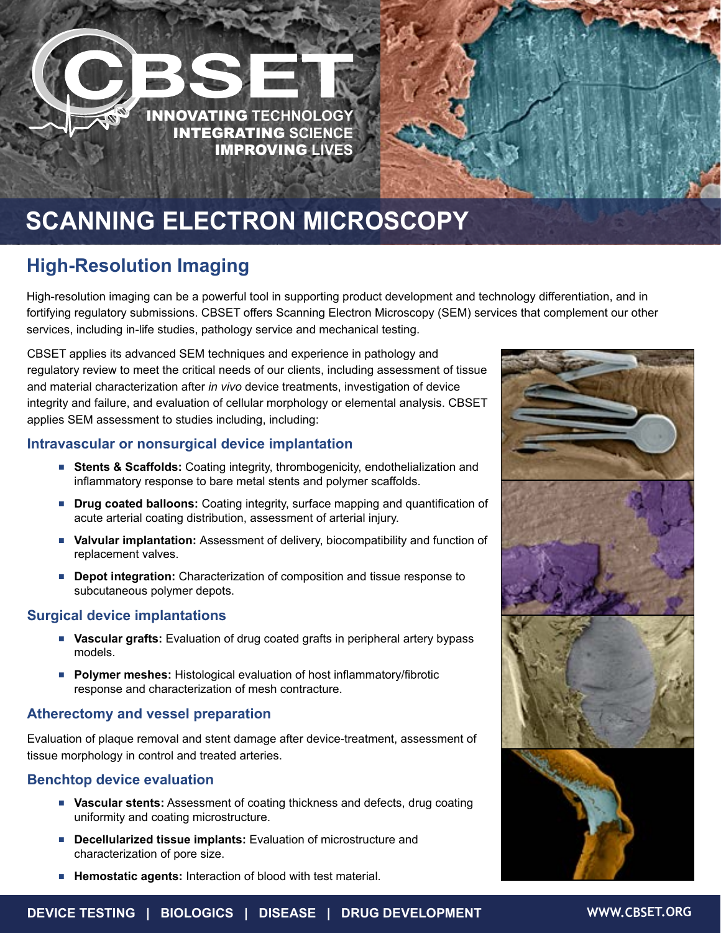

# **High-Resolution Imaging**

High-resolution imaging can be a powerful tool in supporting product development and technology differentiation, and in fortifying regulatory submissions. CBSET offers Scanning Electron Microscopy (SEM) services that complement our other services, including in-life studies, pathology service and mechanical testing.

CBSET applies its advanced SEM techniques and experience in pathology and regulatory review to meet the critical needs of our clients, including assessment of tissue and material characterization after *in vivo* device treatments, investigation of device integrity and failure, and evaluation of cellular morphology or elemental analysis. CBSET applies SEM assessment to studies including, including:

#### **Intravascular or nonsurgical device implantation**

- **E** Stents & Scaffolds: Coating integrity, thrombogenicity, endothelialization and inflammatory response to bare metal stents and polymer scaffolds.
- **Prug coated balloons:** Coating integrity, surface mapping and quantification of acute arterial coating distribution, assessment of arterial injury.
- **Valvular implantation:** Assessment of delivery, biocompatibility and function of replacement valves.
- **Depot integration:** Characterization of composition and tissue response to subcutaneous polymer depots.

#### **Surgical device implantations**

- **Nascular grafts:** Evaluation of drug coated grafts in peripheral artery bypass models.
- **Polymer meshes:** Histological evaluation of host inflammatory/fibrotic response and characterization of mesh contracture.

#### **Atherectomy and vessel preparation**

Evaluation of plaque removal and stent damage after device-treatment, assessment of tissue morphology in control and treated arteries.

#### **Benchtop device evaluation**

- **Vascular stents:** Assessment of coating thickness and defects, drug coating uniformity and coating microstructure.
- **EXEC** Decellularized tissue implants: Evaluation of microstructure and characterization of pore size.
- **Hemostatic agents:** Interaction of blood with test material.